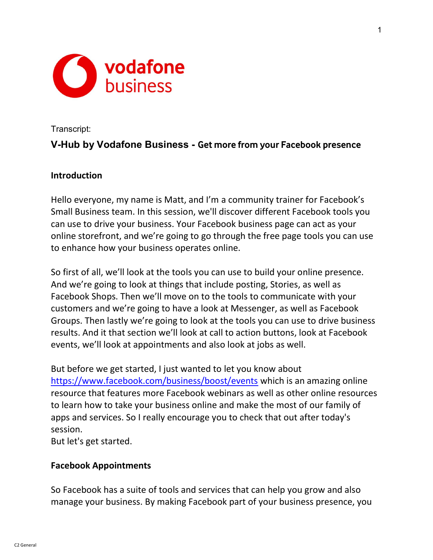

#### Transcript:

# V-Hub by Vodafone Business - Get more from your Facebook presence

### Introduction

Hello everyone, my name is Matt, and I'm a community trainer for Facebook's Small Business team. In this session, we'll discover different Facebook tools you can use to drive your business. Your Facebook business page can act as your online storefront, and we're going to go through the free page tools you can use to enhance how your business operates online.

So first of all, we'll look at the tools you can use to build your online presence. And we're going to look at things that include posting, Stories, as well as Facebook Shops. Then we'll move on to the tools to communicate with your customers and we're going to have a look at Messenger, as well as Facebook Groups. Then lastly we're going to look at the tools you can use to drive business results. And it that section we'll look at call to action buttons, look at Facebook events, we'll look at appointments and also look at jobs as well.

But before we get started, I just wanted to let you know about https://www.facebook.com/business/boost/events which is an amazing online resource that features more Facebook webinars as well as other online resources to learn how to take your business online and make the most of our family of apps and services. So I really encourage you to check that out after today's session. But let's get started.

### Facebook Appointments

So Facebook has a suite of tools and services that can help you grow and also manage your business. By making Facebook part of your business presence, you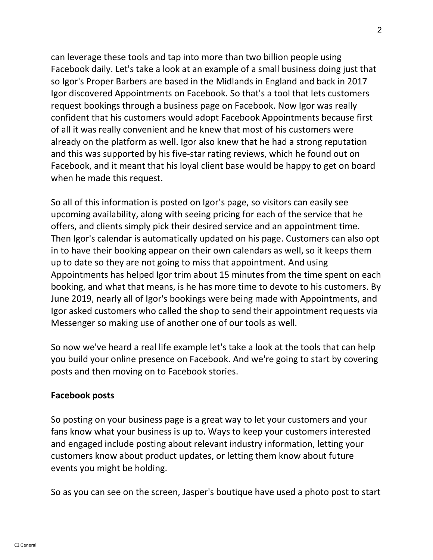can leverage these tools and tap into more than two billion people using Facebook daily. Let's take a look at an example of a small business doing just that so Igor's Proper Barbers are based in the Midlands in England and back in 2017 Igor discovered Appointments on Facebook. So that's a tool that lets customers request bookings through a business page on Facebook. Now Igor was really confident that his customers would adopt Facebook Appointments because first of all it was really convenient and he knew that most of his customers were already on the platform as well. Igor also knew that he had a strong reputation and this was supported by his five-star rating reviews, which he found out on Facebook, and it meant that his loyal client base would be happy to get on board when he made this request.

So all of this information is posted on Igor's page, so visitors can easily see upcoming availability, along with seeing pricing for each of the service that he offers, and clients simply pick their desired service and an appointment time. Then Igor's calendar is automatically updated on his page. Customers can also opt in to have their booking appear on their own calendars as well, so it keeps them up to date so they are not going to miss that appointment. And using Appointments has helped Igor trim about 15 minutes from the time spent on each booking, and what that means, is he has more time to devote to his customers. By June 2019, nearly all of Igor's bookings were being made with Appointments, and Igor asked customers who called the shop to send their appointment requests via Messenger so making use of another one of our tools as well.

So now we've heard a real life example let's take a look at the tools that can help you build your online presence on Facebook. And we're going to start by covering posts and then moving on to Facebook stories.

## Facebook posts

So posting on your business page is a great way to let your customers and your fans know what your business is up to. Ways to keep your customers interested and engaged include posting about relevant industry information, letting your customers know about product updates, or letting them know about future events you might be holding.

So as you can see on the screen, Jasper's boutique have used a photo post to start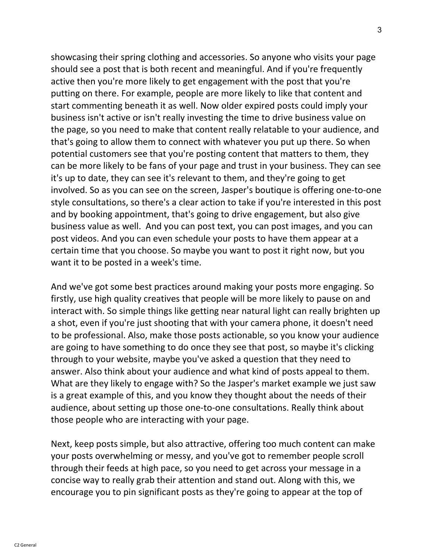showcasing their spring clothing and accessories. So anyone who visits your page should see a post that is both recent and meaningful. And if you're frequently active then you're more likely to get engagement with the post that you're putting on there. For example, people are more likely to like that content and start commenting beneath it as well. Now older expired posts could imply your business isn't active or isn't really investing the time to drive business value on the page, so you need to make that content really relatable to your audience, and that's going to allow them to connect with whatever you put up there. So when potential customers see that you're posting content that matters to them, they can be more likely to be fans of your page and trust in your business. They can see it's up to date, they can see it's relevant to them, and they're going to get involved. So as you can see on the screen, Jasper's boutique is offering one-to-one style consultations, so there's a clear action to take if you're interested in this post and by booking appointment, that's going to drive engagement, but also give business value as well. And you can post text, you can post images, and you can post videos. And you can even schedule your posts to have them appear at a certain time that you choose. So maybe you want to post it right now, but you want it to be posted in a week's time.

And we've got some best practices around making your posts more engaging. So firstly, use high quality creatives that people will be more likely to pause on and interact with. So simple things like getting near natural light can really brighten up a shot, even if you're just shooting that with your camera phone, it doesn't need to be professional. Also, make those posts actionable, so you know your audience are going to have something to do once they see that post, so maybe it's clicking through to your website, maybe you've asked a question that they need to answer. Also think about your audience and what kind of posts appeal to them. What are they likely to engage with? So the Jasper's market example we just saw is a great example of this, and you know they thought about the needs of their audience, about setting up those one-to-one consultations. Really think about those people who are interacting with your page.

Next, keep posts simple, but also attractive, offering too much content can make your posts overwhelming or messy, and you've got to remember people scroll through their feeds at high pace, so you need to get across your message in a concise way to really grab their attention and stand out. Along with this, we encourage you to pin significant posts as they're going to appear at the top of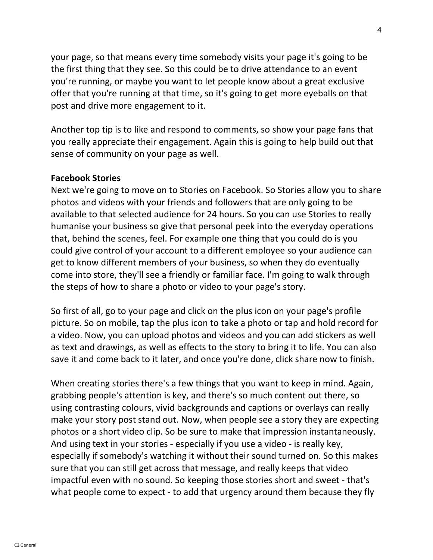your page, so that means every time somebody visits your page it's going to be the first thing that they see. So this could be to drive attendance to an event you're running, or maybe you want to let people know about a great exclusive offer that you're running at that time, so it's going to get more eyeballs on that post and drive more engagement to it.

Another top tip is to like and respond to comments, so show your page fans that you really appreciate their engagement. Again this is going to help build out that sense of community on your page as well.

### Facebook Stories

Next we're going to move on to Stories on Facebook. So Stories allow you to share photos and videos with your friends and followers that are only going to be available to that selected audience for 24 hours. So you can use Stories to really humanise your business so give that personal peek into the everyday operations that, behind the scenes, feel. For example one thing that you could do is you could give control of your account to a different employee so your audience can get to know different members of your business, so when they do eventually come into store, they'll see a friendly or familiar face. I'm going to walk through the steps of how to share a photo or video to your page's story.

So first of all, go to your page and click on the plus icon on your page's profile picture. So on mobile, tap the plus icon to take a photo or tap and hold record for a video. Now, you can upload photos and videos and you can add stickers as well as text and drawings, as well as effects to the story to bring it to life. You can also save it and come back to it later, and once you're done, click share now to finish.

When creating stories there's a few things that you want to keep in mind. Again, grabbing people's attention is key, and there's so much content out there, so using contrasting colours, vivid backgrounds and captions or overlays can really make your story post stand out. Now, when people see a story they are expecting photos or a short video clip. So be sure to make that impression instantaneously. And using text in your stories - especially if you use a video - is really key, especially if somebody's watching it without their sound turned on. So this makes sure that you can still get across that message, and really keeps that video impactful even with no sound. So keeping those stories short and sweet - that's what people come to expect - to add that urgency around them because they fly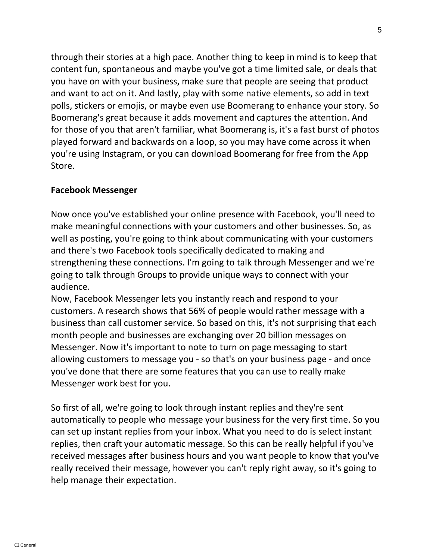through their stories at a high pace. Another thing to keep in mind is to keep that content fun, spontaneous and maybe you've got a time limited sale, or deals that you have on with your business, make sure that people are seeing that product and want to act on it. And lastly, play with some native elements, so add in text polls, stickers or emojis, or maybe even use Boomerang to enhance your story. So Boomerang's great because it adds movement and captures the attention. And for those of you that aren't familiar, what Boomerang is, it's a fast burst of photos played forward and backwards on a loop, so you may have come across it when you're using Instagram, or you can download Boomerang for free from the App Store.

### Facebook Messenger

Now once you've established your online presence with Facebook, you'll need to make meaningful connections with your customers and other businesses. So, as well as posting, you're going to think about communicating with your customers and there's two Facebook tools specifically dedicated to making and strengthening these connections. I'm going to talk through Messenger and we're going to talk through Groups to provide unique ways to connect with your audience.

Now, Facebook Messenger lets you instantly reach and respond to your customers. A research shows that 56% of people would rather message with a business than call customer service. So based on this, it's not surprising that each month people and businesses are exchanging over 20 billion messages on Messenger. Now it's important to note to turn on page messaging to start allowing customers to message you - so that's on your business page - and once you've done that there are some features that you can use to really make Messenger work best for you.

So first of all, we're going to look through instant replies and they're sent automatically to people who message your business for the very first time. So you can set up instant replies from your inbox. What you need to do is select instant replies, then craft your automatic message. So this can be really helpful if you've received messages after business hours and you want people to know that you've really received their message, however you can't reply right away, so it's going to help manage their expectation.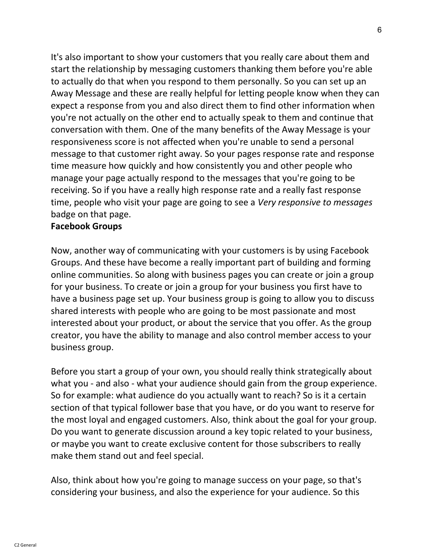It's also important to show your customers that you really care about them and start the relationship by messaging customers thanking them before you're able to actually do that when you respond to them personally. So you can set up an Away Message and these are really helpful for letting people know when they can expect a response from you and also direct them to find other information when you're not actually on the other end to actually speak to them and continue that conversation with them. One of the many benefits of the Away Message is your responsiveness score is not affected when you're unable to send a personal message to that customer right away. So your pages response rate and response time measure how quickly and how consistently you and other people who manage your page actually respond to the messages that you're going to be receiving. So if you have a really high response rate and a really fast response time, people who visit your page are going to see a Very responsive to messages badge on that page.

### Facebook Groups

Now, another way of communicating with your customers is by using Facebook Groups. And these have become a really important part of building and forming online communities. So along with business pages you can create or join a group for your business. To create or join a group for your business you first have to have a business page set up. Your business group is going to allow you to discuss shared interests with people who are going to be most passionate and most interested about your product, or about the service that you offer. As the group creator, you have the ability to manage and also control member access to your business group.

Before you start a group of your own, you should really think strategically about what you - and also - what your audience should gain from the group experience. So for example: what audience do you actually want to reach? So is it a certain section of that typical follower base that you have, or do you want to reserve for the most loyal and engaged customers. Also, think about the goal for your group. Do you want to generate discussion around a key topic related to your business, or maybe you want to create exclusive content for those subscribers to really make them stand out and feel special.

Also, think about how you're going to manage success on your page, so that's considering your business, and also the experience for your audience. So this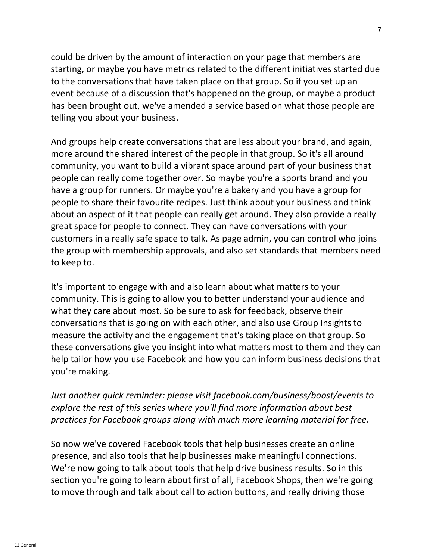could be driven by the amount of interaction on your page that members are starting, or maybe you have metrics related to the different initiatives started due to the conversations that have taken place on that group. So if you set up an event because of a discussion that's happened on the group, or maybe a product has been brought out, we've amended a service based on what those people are telling you about your business.

And groups help create conversations that are less about your brand, and again, more around the shared interest of the people in that group. So it's all around community, you want to build a vibrant space around part of your business that people can really come together over. So maybe you're a sports brand and you have a group for runners. Or maybe you're a bakery and you have a group for people to share their favourite recipes. Just think about your business and think about an aspect of it that people can really get around. They also provide a really great space for people to connect. They can have conversations with your customers in a really safe space to talk. As page admin, you can control who joins the group with membership approvals, and also set standards that members need to keep to.

It's important to engage with and also learn about what matters to your community. This is going to allow you to better understand your audience and what they care about most. So be sure to ask for feedback, observe their conversations that is going on with each other, and also use Group Insights to measure the activity and the engagement that's taking place on that group. So these conversations give you insight into what matters most to them and they can help tailor how you use Facebook and how you can inform business decisions that you're making.

Just another quick reminder: please visit facebook.com/business/boost/events to explore the rest of this series where you'll find more information about best practices for Facebook groups along with much more learning material for free.

So now we've covered Facebook tools that help businesses create an online presence, and also tools that help businesses make meaningful connections. We're now going to talk about tools that help drive business results. So in this section you're going to learn about first of all, Facebook Shops, then we're going to move through and talk about call to action buttons, and really driving those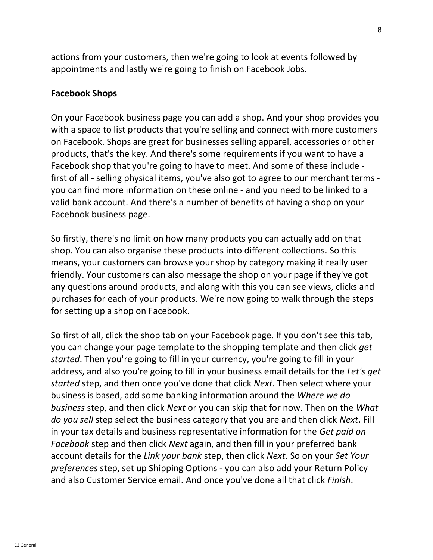actions from your customers, then we're going to look at events followed by appointments and lastly we're going to finish on Facebook Jobs.

#### Facebook Shops

On your Facebook business page you can add a shop. And your shop provides you with a space to list products that you're selling and connect with more customers on Facebook. Shops are great for businesses selling apparel, accessories or other products, that's the key. And there's some requirements if you want to have a Facebook shop that you're going to have to meet. And some of these include first of all - selling physical items, you've also got to agree to our merchant terms you can find more information on these online - and you need to be linked to a valid bank account. And there's a number of benefits of having a shop on your Facebook business page.

So firstly, there's no limit on how many products you can actually add on that shop. You can also organise these products into different collections. So this means, your customers can browse your shop by category making it really user friendly. Your customers can also message the shop on your page if they've got any questions around products, and along with this you can see views, clicks and purchases for each of your products. We're now going to walk through the steps for setting up a shop on Facebook.

So first of all, click the shop tab on your Facebook page. If you don't see this tab, you can change your page template to the shopping template and then click get started. Then you're going to fill in your currency, you're going to fill in your address, and also you're going to fill in your business email details for the Let's get started step, and then once you've done that click Next. Then select where your business is based, add some banking information around the Where we do business step, and then click Next or you can skip that for now. Then on the What do you sell step select the business category that you are and then click Next. Fill in your tax details and business representative information for the Get paid on Facebook step and then click Next again, and then fill in your preferred bank account details for the Link your bank step, then click Next. So on your Set Your preferences step, set up Shipping Options - you can also add your Return Policy and also Customer Service email. And once you've done all that click Finish.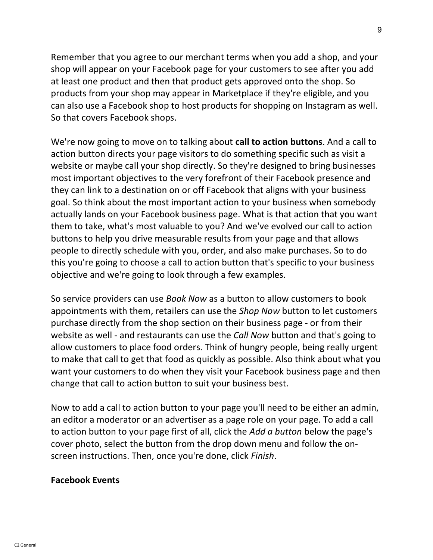Remember that you agree to our merchant terms when you add a shop, and your shop will appear on your Facebook page for your customers to see after you add at least one product and then that product gets approved onto the shop. So products from your shop may appear in Marketplace if they're eligible, and you can also use a Facebook shop to host products for shopping on Instagram as well. So that covers Facebook shops.

We're now going to move on to talking about call to action buttons. And a call to action button directs your page visitors to do something specific such as visit a website or maybe call your shop directly. So they're designed to bring businesses most important objectives to the very forefront of their Facebook presence and they can link to a destination on or off Facebook that aligns with your business goal. So think about the most important action to your business when somebody actually lands on your Facebook business page. What is that action that you want them to take, what's most valuable to you? And we've evolved our call to action buttons to help you drive measurable results from your page and that allows people to directly schedule with you, order, and also make purchases. So to do this you're going to choose a call to action button that's specific to your business objective and we're going to look through a few examples.

So service providers can use Book Now as a button to allow customers to book appointments with them, retailers can use the Shop Now button to let customers purchase directly from the shop section on their business page - or from their website as well - and restaurants can use the Call Now button and that's going to allow customers to place food orders. Think of hungry people, being really urgent to make that call to get that food as quickly as possible. Also think about what you want your customers to do when they visit your Facebook business page and then change that call to action button to suit your business best.

Now to add a call to action button to your page you'll need to be either an admin, an editor a moderator or an advertiser as a page role on your page. To add a call to action button to your page first of all, click the Add a button below the page's cover photo, select the button from the drop down menu and follow the onscreen instructions. Then, once you're done, click Finish.

### Facebook Events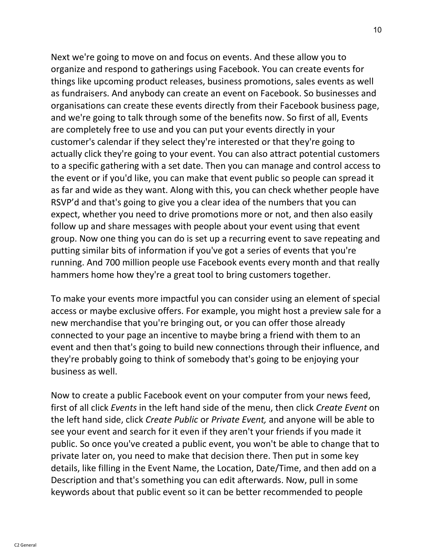Next we're going to move on and focus on events. And these allow you to organize and respond to gatherings using Facebook. You can create events for things like upcoming product releases, business promotions, sales events as well as fundraisers. And anybody can create an event on Facebook. So businesses and organisations can create these events directly from their Facebook business page, and we're going to talk through some of the benefits now. So first of all, Events are completely free to use and you can put your events directly in your customer's calendar if they select they're interested or that they're going to actually click they're going to your event. You can also attract potential customers to a specific gathering with a set date. Then you can manage and control access to the event or if you'd like, you can make that event public so people can spread it as far and wide as they want. Along with this, you can check whether people have RSVP'd and that's going to give you a clear idea of the numbers that you can expect, whether you need to drive promotions more or not, and then also easily follow up and share messages with people about your event using that event group. Now one thing you can do is set up a recurring event to save repeating and putting similar bits of information if you've got a series of events that you're running. And 700 million people use Facebook events every month and that really hammers home how they're a great tool to bring customers together.

To make your events more impactful you can consider using an element of special access or maybe exclusive offers. For example, you might host a preview sale for a new merchandise that you're bringing out, or you can offer those already connected to your page an incentive to maybe bring a friend with them to an event and then that's going to build new connections through their influence, and they're probably going to think of somebody that's going to be enjoying your business as well.

Now to create a public Facebook event on your computer from your news feed, first of all click Events in the left hand side of the menu, then click Create Event on the left hand side, click Create Public or Private Event, and anyone will be able to see your event and search for it even if they aren't your friends if you made it public. So once you've created a public event, you won't be able to change that to private later on, you need to make that decision there. Then put in some key details, like filling in the Event Name, the Location, Date/Time, and then add on a Description and that's something you can edit afterwards. Now, pull in some keywords about that public event so it can be better recommended to people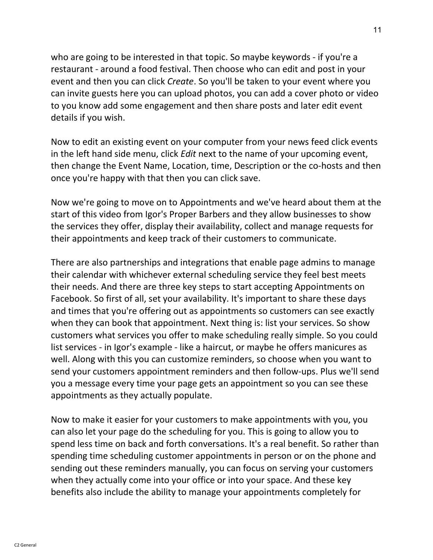who are going to be interested in that topic. So maybe keywords - if you're a restaurant - around a food festival. Then choose who can edit and post in your event and then you can click Create. So you'll be taken to your event where you can invite guests here you can upload photos, you can add a cover photo or video to you know add some engagement and then share posts and later edit event details if you wish.

Now to edit an existing event on your computer from your news feed click events in the left hand side menu, click Edit next to the name of your upcoming event, then change the Event Name, Location, time, Description or the co-hosts and then once you're happy with that then you can click save.

Now we're going to move on to Appointments and we've heard about them at the start of this video from Igor's Proper Barbers and they allow businesses to show the services they offer, display their availability, collect and manage requests for their appointments and keep track of their customers to communicate.

There are also partnerships and integrations that enable page admins to manage their calendar with whichever external scheduling service they feel best meets their needs. And there are three key steps to start accepting Appointments on Facebook. So first of all, set your availability. It's important to share these days and times that you're offering out as appointments so customers can see exactly when they can book that appointment. Next thing is: list your services. So show customers what services you offer to make scheduling really simple. So you could list services - in Igor's example - like a haircut, or maybe he offers manicures as well. Along with this you can customize reminders, so choose when you want to send your customers appointment reminders and then follow-ups. Plus we'll send you a message every time your page gets an appointment so you can see these appointments as they actually populate.

Now to make it easier for your customers to make appointments with you, you can also let your page do the scheduling for you. This is going to allow you to spend less time on back and forth conversations. It's a real benefit. So rather than spending time scheduling customer appointments in person or on the phone and sending out these reminders manually, you can focus on serving your customers when they actually come into your office or into your space. And these key benefits also include the ability to manage your appointments completely for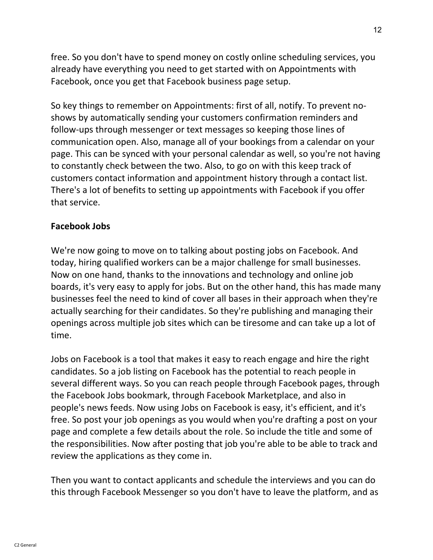free. So you don't have to spend money on costly online scheduling services, you already have everything you need to get started with on Appointments with Facebook, once you get that Facebook business page setup.

So key things to remember on Appointments: first of all, notify. To prevent noshows by automatically sending your customers confirmation reminders and follow-ups through messenger or text messages so keeping those lines of communication open. Also, manage all of your bookings from a calendar on your page. This can be synced with your personal calendar as well, so you're not having to constantly check between the two. Also, to go on with this keep track of customers contact information and appointment history through a contact list. There's a lot of benefits to setting up appointments with Facebook if you offer that service.

### Facebook Jobs

We're now going to move on to talking about posting jobs on Facebook. And today, hiring qualified workers can be a major challenge for small businesses. Now on one hand, thanks to the innovations and technology and online job boards, it's very easy to apply for jobs. But on the other hand, this has made many businesses feel the need to kind of cover all bases in their approach when they're actually searching for their candidates. So they're publishing and managing their openings across multiple job sites which can be tiresome and can take up a lot of time.

Jobs on Facebook is a tool that makes it easy to reach engage and hire the right candidates. So a job listing on Facebook has the potential to reach people in several different ways. So you can reach people through Facebook pages, through the Facebook Jobs bookmark, through Facebook Marketplace, and also in people's news feeds. Now using Jobs on Facebook is easy, it's efficient, and it's free. So post your job openings as you would when you're drafting a post on your page and complete a few details about the role. So include the title and some of the responsibilities. Now after posting that job you're able to be able to track and review the applications as they come in.

Then you want to contact applicants and schedule the interviews and you can do this through Facebook Messenger so you don't have to leave the platform, and as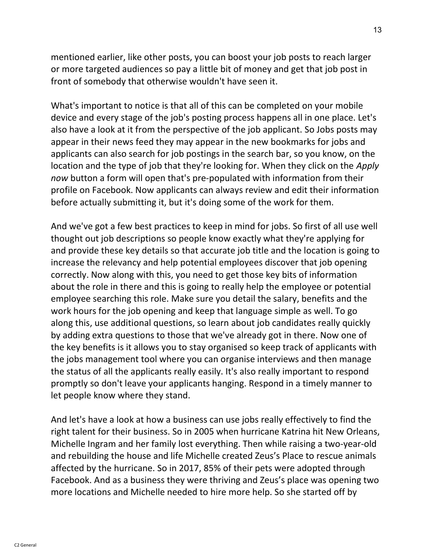mentioned earlier, like other posts, you can boost your job posts to reach larger or more targeted audiences so pay a little bit of money and get that job post in front of somebody that otherwise wouldn't have seen it.

What's important to notice is that all of this can be completed on your mobile device and every stage of the job's posting process happens all in one place. Let's also have a look at it from the perspective of the job applicant. So Jobs posts may appear in their news feed they may appear in the new bookmarks for jobs and applicants can also search for job postings in the search bar, so you know, on the location and the type of job that they're looking for. When they click on the Apply now button a form will open that's pre-populated with information from their profile on Facebook. Now applicants can always review and edit their information before actually submitting it, but it's doing some of the work for them.

And we've got a few best practices to keep in mind for jobs. So first of all use well thought out job descriptions so people know exactly what they're applying for and provide these key details so that accurate job title and the location is going to increase the relevancy and help potential employees discover that job opening correctly. Now along with this, you need to get those key bits of information about the role in there and this is going to really help the employee or potential employee searching this role. Make sure you detail the salary, benefits and the work hours for the job opening and keep that language simple as well. To go along this, use additional questions, so learn about job candidates really quickly by adding extra questions to those that we've already got in there. Now one of the key benefits is it allows you to stay organised so keep track of applicants with the jobs management tool where you can organise interviews and then manage the status of all the applicants really easily. It's also really important to respond promptly so don't leave your applicants hanging. Respond in a timely manner to let people know where they stand.

And let's have a look at how a business can use jobs really effectively to find the right talent for their business. So in 2005 when hurricane Katrina hit New Orleans, Michelle Ingram and her family lost everything. Then while raising a two-year-old and rebuilding the house and life Michelle created Zeus's Place to rescue animals affected by the hurricane. So in 2017, 85% of their pets were adopted through Facebook. And as a business they were thriving and Zeus's place was opening two more locations and Michelle needed to hire more help. So she started off by